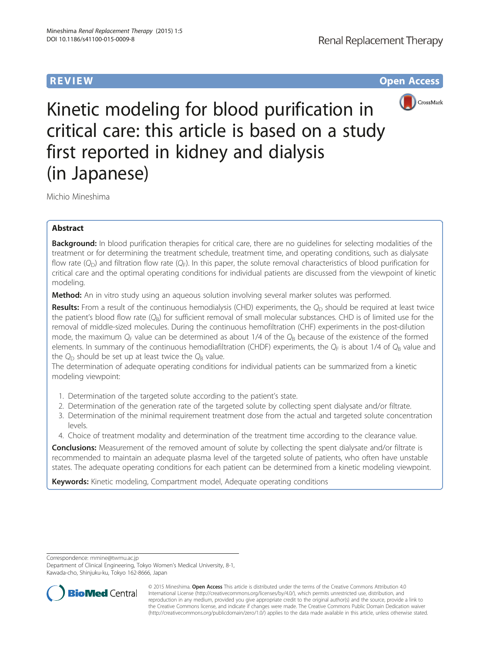**REVIEW REVIEW** *REVIEW* 



Kinetic modeling for blood purification in critical care: this article is based on a study first reported in kidney and dialysis (in Japanese)

Michio Mineshima

# Abstract

Background: In blood purification therapies for critical care, there are no guidelines for selecting modalities of the treatment or for determining the treatment schedule, treatment time, and operating conditions, such as dialysate flow rate  $(Q_D)$  and filtration flow rate  $(Q_F)$ . In this paper, the solute removal characteristics of blood purification for critical care and the optimal operating conditions for individual patients are discussed from the viewpoint of kinetic modeling.

Method: An in vitro study using an aqueous solution involving several marker solutes was performed.

**Results:** From a result of the continuous hemodialysis (CHD) experiments, the  $Q_D$  should be required at least twice the patient's blood flow rate  $(Q_B)$  for sufficient removal of small molecular substances. CHD is of limited use for the removal of middle-sized molecules. During the continuous hemofiltration (CHF) experiments in the post-dilution mode, the maximum  $Q_F$  value can be determined as about 1/4 of the  $Q_B$  because of the existence of the formed elements. In summary of the continuous hemodiafiltration (CHDF) experiments, the  $Q_F$  is about 1/4 of  $Q_B$  value and the  $Q_D$  should be set up at least twice the  $Q_B$  value.

The determination of adequate operating conditions for individual patients can be summarized from a kinetic modeling viewpoint:

- 1. Determination of the targeted solute according to the patient's state.
- 2. Determination of the generation rate of the targeted solute by collecting spent dialysate and/or filtrate.
- 3. Determination of the minimal requirement treatment dose from the actual and targeted solute concentration levels.
- 4. Choice of treatment modality and determination of the treatment time according to the clearance value.

Conclusions: Measurement of the removed amount of solute by collecting the spent dialysate and/or filtrate is recommended to maintain an adequate plasma level of the targeted solute of patients, who often have unstable states. The adequate operating conditions for each patient can be determined from a kinetic modeling viewpoint.

Keywords: Kinetic modeling, Compartment model, Adequate operating conditions

Correspondence: [mmine@twmu.ac.jp](mailto:mmine@twmu.ac.jp)

Department of Clinical Engineering, Tokyo Women's Medical University, 8-1, Kawada-cho, Shinjuku-ku, Tokyo 162-8666, Japan



© 2015 Mineshima. Open Access This article is distributed under the terms of the Creative Commons Attribution 4.0 International License [\(http://creativecommons.org/licenses/by/4.0/](http://creativecommons.org/licenses/by/4.0/)), which permits unrestricted use, distribution, and reproduction in any medium, provided you give appropriate credit to the original author(s) and the source, provide a link to the Creative Commons license, and indicate if changes were made. The Creative Commons Public Domain Dedication waiver [\(http://creativecommons.org/publicdomain/zero/1.0/](http://creativecommons.org/publicdomain/zero/1.0/)) applies to the data made available in this article, unless otherwise stated.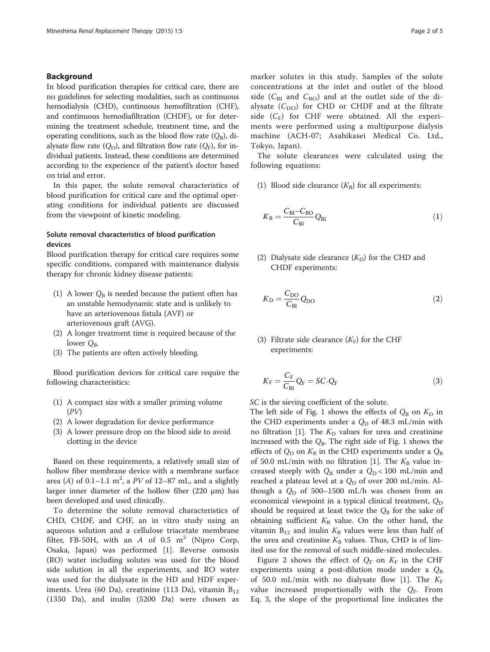### Background

In blood purification therapies for critical care, there are no guidelines for selecting modalities, such as continuous hemodialysis (CHD), continuous hemofiltration (CHF), and continuous hemodiafiltration (CHDF), or for determining the treatment schedule, treatment time, and the operating conditions, such as the blood flow rate  $(Q_B)$ , dialysate flow rate  $(Q_D)$ , and filtration flow rate  $(Q_F)$ , for individual patients. Instead, these conditions are determined according to the experience of the patient's doctor based on trial and error.

In this paper, the solute removal characteristics of blood purification for critical care and the optimal operating conditions for individual patients are discussed from the viewpoint of kinetic modeling.

## Solute removal characteristics of blood purification devices

Blood purification therapy for critical care requires some specific conditions, compared with maintenance dialysis therapy for chronic kidney disease patients:

- (1) A lower  $Q_B$  is needed because the patient often has an unstable hemodynamic state and is unlikely to have an arteriovenous fistula (AVF) or arteriovenous graft (AVG).
- (2) A longer treatment time is required because of the lower  $Q_{\rm B}$ .
- (3) The patients are often actively bleeding.

Blood purification devices for critical care require the following characteristics:

- (1) A compact size with a smaller priming volume  $(PV)$
- (2) A lower degradation for device performance
- (3) A lower pressure drop on the blood side to avoid clotting in the device

Based on these requirements, a relatively small size of hollow fiber membrane device with a membrane surface area (A) of  $0.1-1.1$  m<sup>2</sup>, a PV of  $12-87$  mL, and a slightly larger inner diameter of the hollow fiber (220  $\mu$ m) has been developed and used clinically.

To determine the solute removal characteristics of CHD, CHDF, and CHF, an in vitro study using an aqueous solution and a cellulose triacetate membrane filter, FB-50H, with an  $A$  of 0.5 m<sup>2</sup> (Nipro Corp, Osaka, Japan) was performed [\[1](#page-4-0)]. Reverse osmosis (RO) water including solutes was used for the blood side solution in all the experiments, and RO water was used for the dialysate in the HD and HDF experiments. Urea (60 Da), creatinine (113 Da), vitamin  $B_{12}$ (1350 Da), and inulin (5200 Da) were chosen as

marker solutes in this study. Samples of the solute concentrations at the inlet and outlet of the blood side ( $C_{BI}$  and  $C_{BO}$ ) and at the outlet side of the dialysate  $(C_{DO})$  for CHD or CHDF and at the filtrate side  $(C_F)$  for CHF were obtained. All the experiments were performed using a multipurpose dialysis machine (ACH-07; Asahikasei Medical Co. Ltd., Tokyo, Japan).

The solute clearances were calculated using the following equations:

(1) Blood side clearance  $(K_{\rm B})$  for all experiments:

$$
K_{\rm B} = \frac{C_{\rm BI} - C_{\rm BO}}{C_{\rm BI}} Q_{\rm BI} \tag{1}
$$

(2) Dialysate side clearance  $(K<sub>D</sub>)$  for the CHD and CHDF experiments:

$$
K_{\rm D} = \frac{C_{\rm DO}}{C_{\rm BI}} Q_{\rm DO}
$$
 (2)

## (3) Filtrate side clearance  $(K_F)$  for the CHF experiments:

$$
K_{\rm F} = \frac{C_{\rm F}}{C_{\rm BI}} Q_{\rm F} = SC \cdot Q_{\rm F}
$$
\n(3)

SC is the sieving coefficient of the solute.

The left side of Fig. [1](#page-2-0) shows the effects of  $Q_B$  on  $K_D$  in the CHD experiments under a  $Q_D$  of 48.3 mL/min with no filtration [\[1\]](#page-4-0). The  $K<sub>D</sub>$  values for urea and creatinine increased with the  $Q_B$ . The right side of Fig. [1](#page-2-0) shows the effects of  $Q_D$  on  $K_B$  in the CHD experiments under a  $Q_B$ of 50.0 mL/min with no filtration [\[1](#page-4-0)]. The  $K_B$  value increased steeply with  $Q_{\rm B}$  under a  $Q_{\rm D} < 100$  mL/min and reached a plateau level at a  $Q_D$  of over 200 mL/min. Although a  $Q_D$  of 500–1500 mL/h was chosen from an economical viewpoint in a typical clinical treatment,  $Q_D$ should be required at least twice the  $Q_B$  for the sake of obtaining sufficient  $K_B$  value. On the other hand, the vitamin  $B_{12}$  and inulin  $K_B$  values were less than half of the urea and creatinine  $K_B$  values. Thus, CHD is of limited use for the removal of such middle-sized molecules.

Figure [2](#page-2-0) shows the effect of  $Q_F$  on  $K_F$  in the CHF experiments using a post-dilution mode under a  $Q_B$ of 50.0 mL/min with no dialysate flow [[1\]](#page-4-0). The  $K_F$ value increased proportionally with the  $Q_F$ . From Eq. 3, the slope of the proportional line indicates the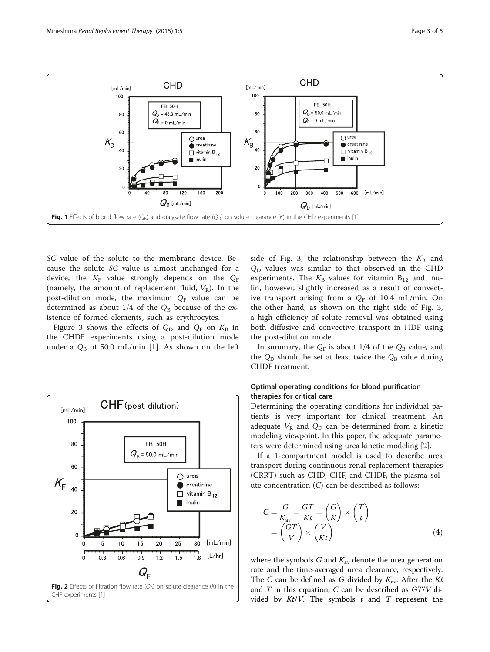<span id="page-2-0"></span>

SC value of the solute to the membrane device. Because the solute SC value is almost unchanged for a device, the  $K_F$  value strongly depends on the  $Q_F$ (namely, the amount of replacement fluid,  $V_R$ ). In the post-dilution mode, the maximum  $Q_F$  value can be determined as about  $1/4$  of the  $Q_B$  because of the existence of formed elements, such as erythrocytes.

Figure [3](#page-3-0) shows the effects of  $Q_D$  and  $Q_F$  on  $K_B$  in the CHDF experiments using a post-dilution mode under a  $Q_B$  of 50.0 mL/min [[1\]](#page-4-0). As shown on the left



side of Fig. [3](#page-3-0), the relationship between the  $K_{\text{B}}$  and  $Q_D$  values was similar to that observed in the CHD experiments. The  $K_{\rm B}$  values for vitamin  $B_{12}$  and inulin, however, slightly increased as a result of convective transport arising from a  $Q_F$  of 10.4 mL/min. On the other hand, as shown on the right side of Fig. [3](#page-3-0), a high efficiency of solute removal was obtained using both diffusive and convective transport in HDF using the post-dilution mode.

In summary, the  $Q_F$  is about 1/4 of the  $Q_B$  value, and the  $Q_D$  should be set at least twice the  $Q_B$  value during CHDF treatment.

## Optimal operating conditions for blood purification therapies for critical care

Determining the operating conditions for individual patients is very important for clinical treatment. An adequate  $V_R$  and  $Q_D$  can be determined from a kinetic modeling viewpoint. In this paper, the adequate parameters were determined using urea kinetic modeling [[2](#page-4-0)].

If a 1-compartment model is used to describe urea transport during continuous renal replacement therapies (CRRT) such as CHD, CHF, and CHDF, the plasma solute concentration (C) can be described as follows:

$$
C = \frac{G}{K_{\text{av}}} = \frac{GT}{Kt} = \left(\frac{G}{K}\right) \times \left(\frac{T}{t}\right)
$$

$$
= \left(\frac{GT}{V}\right) \times \left(\frac{V}{Kt}\right) \tag{4}
$$

where the symbols G and  $K_{av}$  denote the urea generation rate and the time-averaged urea clearance, respectively. The C can be defined as G divided by  $K_{av}$ . After the Kt and  $T$  in this equation,  $C$  can be described as  $GT/V$  divided by  $Kt/V$ . The symbols  $t$  and  $T$  represent the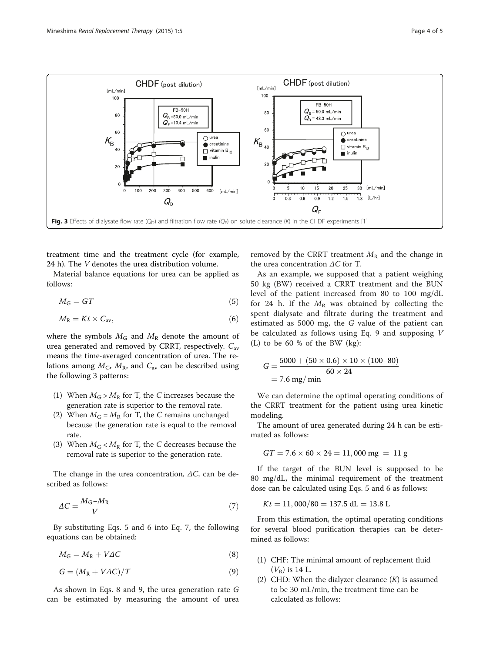<span id="page-3-0"></span>

treatment time and the treatment cycle (for example, 24 h). The V denotes the urea distribution volume.

Material balance equations for urea can be applied as follows:

$$
M_{\rm G} = GT \tag{5}
$$

$$
M_{\rm R} = Kt \times C_{\rm av},\tag{6}
$$

where the symbols  $M<sub>G</sub>$  and  $M<sub>R</sub>$  denote the amount of urea generated and removed by CRRT, respectively.  $C_{\text{av}}$ means the time-averaged concentration of urea. The relations among  $M_G$ ,  $M_R$ , and  $C_{av}$  can be described using the following 3 patterns:

- (1) When  $M_G > M_R$  for T, the C increases because the generation rate is superior to the removal rate.
- (2) When  $M_G = M_R$  for T, the C remains unchanged because the generation rate is equal to the removal rate.
- (3) When  $M_G < M_R$  for T, the C decreases because the removal rate is superior to the generation rate.

The change in the urea concentration,  $\Delta C$ , can be described as follows:

$$
\Delta C = \frac{M_{\rm G} - M_{\rm R}}{V} \tag{7}
$$

By substituting Eqs. 5 and 6 into Eq. 7, the following equations can be obtained:

$$
M_{\rm G} = M_{\rm R} + V \Delta C \tag{8}
$$

$$
G = (M_R + V\Delta C)/T \tag{9}
$$

As shown in Eqs. 8 and 9, the urea generation rate G can be estimated by measuring the amount of urea removed by the CRRT treatment  $M_R$  and the change in the urea concentration  $\Delta C$  for T.

As an example, we supposed that a patient weighing 50 kg (BW) received a CRRT treatment and the BUN level of the patient increased from 80 to 100 mg/dL for 24 h. If the  $M_R$  was obtained by collecting the spent dialysate and filtrate during the treatment and estimated as 5000 mg, the G value of the patient can be calculated as follows using Eq. 9 and supposing V (L) to be 60 % of the BW (kg):

$$
G = \frac{5000 + (50 \times 0.6) \times 10 \times (100 - 80)}{60 \times 24}
$$
  
= 7.6 mg/min

We can determine the optimal operating conditions of the CRRT treatment for the patient using urea kinetic modeling.

The amount of urea generated during 24 h can be estimated as follows:

$$
GT = 7.6 \times 60 \times 24 = 11,000 \text{ mg} = 11 \text{ g}
$$

If the target of the BUN level is supposed to be 80 mg/dL, the minimal requirement of the treatment dose can be calculated using Eqs. 5 and 6 as follows:

$$
Kt = 11,000/80 = 137.5 \text{ dL} = 13.8 \text{ L}
$$

From this estimation, the optimal operating conditions for several blood purification therapies can be determined as follows:

- (1) CHF: The minimal amount of replacement fluid  $(V_R)$  is 14 L.
- (2) CHD: When the dialyzer clearance  $(K)$  is assumed to be 30 mL/min, the treatment time can be calculated as follows: